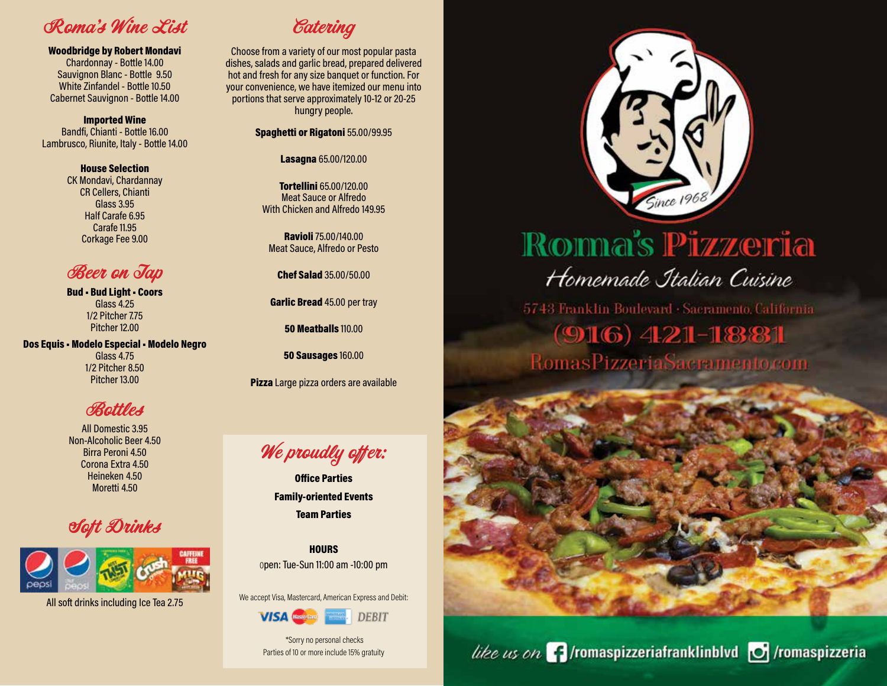Roma's Wine List

Woodbridge by Robert Mondavi

Chardonnay - Bottle 14.00 Sauvignon Blanc - Bottle 9.50 White Zinfandel - Bottle 10.50 Cabernet Sauvignon - Bottle 14.00

Imported Wine Bandfi, Chianti - Bottle 16.00 Lambrusco, Riunite, Italy - Bottle 14.00

> House Selection CK Mondavi, Chardannay CR Cellers, Chianti Glass 3.95

> > Half Carafe 6.95 Carafe 11.95 Corkage Fee 9.00

## **Beer on Tap**

Bud • Bud Light • Coors Glass 4.25 1/2 Pitcher 7.75 Pitcher 12.00

Dos Equis • Modelo Especial • Modelo Negro Glass 4.75 1/2 Pitcher 8.50 Pitcher 13.00

**Bottles** 

All Domestic 3.95 Non-Alcoholic Beer 4.50 Birra Peroni 4.50 Corona Extra 4.50 Heineken 4.50 Moretti 4.50

## Soft Drinks



All soft drinks including Ice Tea 2.75



Choose from a variety of our most popular pasta dishes, salads and garlic bread, prepared delivered hot and fresh for any size banquet or function. For your convenience, we have itemized our menu into portions that serve approximately 10-12 or 20-25 hungry people.

Spaghetti or Rigatoni 55.00/99.95

Lasagna 65.00/120.00

Tortellini 65.00/120.00 Meat Sauce or Alfredo With Chicken and Alfredo 149.95

Ravioli 75.00/140.00 Meat Sauce, Alfredo or Pesto

Chef Salad 35.00/50.00

Garlic Bread 45.00 per tray

50 Meatballs 110.00

50 Sausages 160.00

Pizza Large pizza orders are available

We proudly offer:

Office Parties Family-oriented Events Team Parties



We accept Visa, Mastercard, American Express and Debit:



 \*Sorry no personal checks Parties of 10 or more include 15% gratuity



# Roma's Pizzeria Homemade Italian Cuisine

5743 Franklin Boulevard · Sacramento, California  $(916)$  421-1881 RomasPizzeriaSacramento.com

like us on  $\Gamma$  /romaspizzeriafranklinblvd  $\sigma$  /romaspizzeria